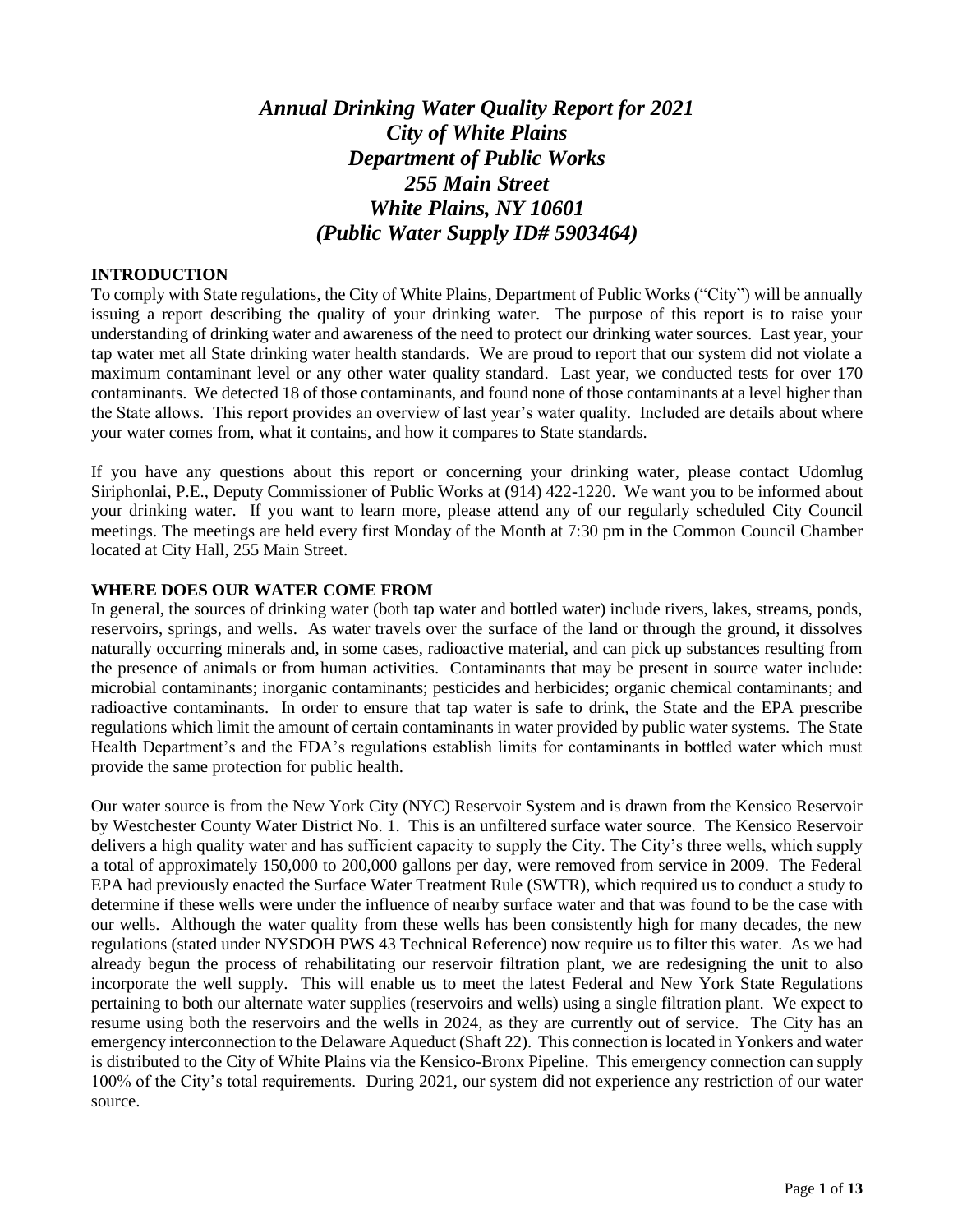# *Annual Drinking Water Quality Report for 2021 City of White Plains Department of Public Works 255 Main Street White Plains, NY 10601 (Public Water Supply ID# 5903464)*

#### **INTRODUCTION**

To comply with State regulations, the City of White Plains, Department of Public Works ("City") will be annually issuing a report describing the quality of your drinking water. The purpose of this report is to raise your understanding of drinking water and awareness of the need to protect our drinking water sources. Last year, your tap water met all State drinking water health standards. We are proud to report that our system did not violate a maximum contaminant level or any other water quality standard. Last year, we conducted tests for over 170 contaminants. We detected 18 of those contaminants, and found none of those contaminants at a level higher than the State allows. This report provides an overview of last year's water quality. Included are details about where your water comes from, what it contains, and how it compares to State standards.

If you have any questions about this report or concerning your drinking water, please contact Udomlug Siriphonlai, P.E., Deputy Commissioner of Public Works at (914) 422-1220. We want you to be informed about your drinking water. If you want to learn more, please attend any of our regularly scheduled City Council meetings. The meetings are held every first Monday of the Month at 7:30 pm in the Common Council Chamber located at City Hall, 255 Main Street.

#### **WHERE DOES OUR WATER COME FROM**

In general, the sources of drinking water (both tap water and bottled water) include rivers, lakes, streams, ponds, reservoirs, springs, and wells. As water travels over the surface of the land or through the ground, it dissolves naturally occurring minerals and, in some cases, radioactive material, and can pick up substances resulting from the presence of animals or from human activities. Contaminants that may be present in source water include: microbial contaminants; inorganic contaminants; pesticides and herbicides; organic chemical contaminants; and radioactive contaminants. In order to ensure that tap water is safe to drink, the State and the EPA prescribe regulations which limit the amount of certain contaminants in water provided by public water systems. The State Health Department's and the FDA's regulations establish limits for contaminants in bottled water which must provide the same protection for public health.

Our water source is from the New York City (NYC) Reservoir System and is drawn from the Kensico Reservoir by Westchester County Water District No. 1. This is an unfiltered surface water source. The Kensico Reservoir delivers a high quality water and has sufficient capacity to supply the City. The City's three wells, which supply a total of approximately 150,000 to 200,000 gallons per day, were removed from service in 2009. The Federal EPA had previously enacted the Surface Water Treatment Rule (SWTR), which required us to conduct a study to determine if these wells were under the influence of nearby surface water and that was found to be the case with our wells. Although the water quality from these wells has been consistently high for many decades, the new regulations (stated under NYSDOH PWS 43 Technical Reference) now require us to filter this water. As we had already begun the process of rehabilitating our reservoir filtration plant, we are redesigning the unit to also incorporate the well supply. This will enable us to meet the latest Federal and New York State Regulations pertaining to both our alternate water supplies (reservoirs and wells) using a single filtration plant. We expect to resume using both the reservoirs and the wells in 2024, as they are currently out of service. The City has an emergency interconnection to the Delaware Aqueduct (Shaft 22). This connection is located in Yonkers and water is distributed to the City of White Plains via the Kensico-Bronx Pipeline. This emergency connection can supply 100% of the City's total requirements. During 2021, our system did not experience any restriction of our water source.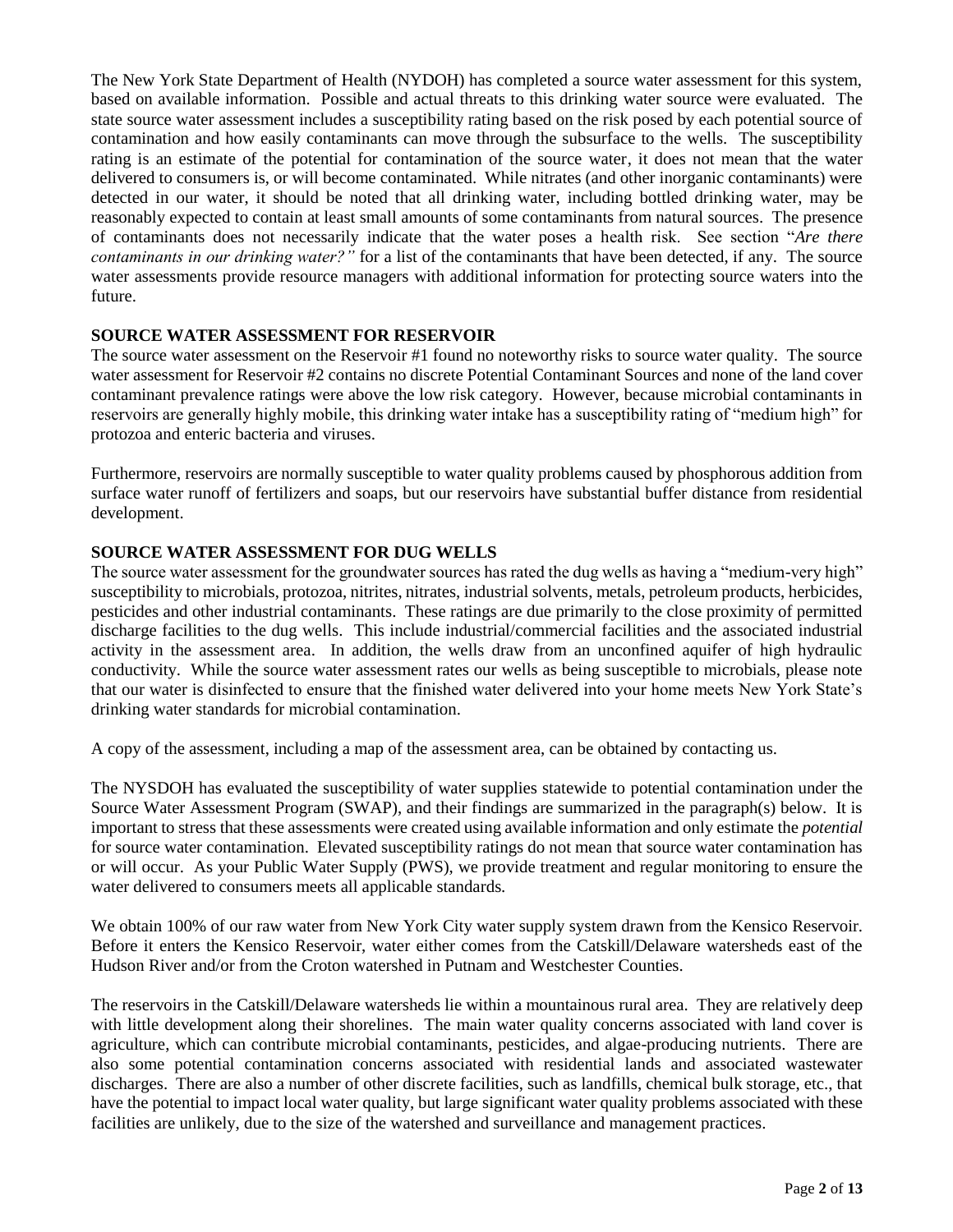The New York State Department of Health (NYDOH) has completed a source water assessment for this system, based on available information. Possible and actual threats to this drinking water source were evaluated. The state source water assessment includes a susceptibility rating based on the risk posed by each potential source of contamination and how easily contaminants can move through the subsurface to the wells. The susceptibility rating is an estimate of the potential for contamination of the source water, it does not mean that the water delivered to consumers is, or will become contaminated. While nitrates (and other inorganic contaminants) were detected in our water, it should be noted that all drinking water, including bottled drinking water, may be reasonably expected to contain at least small amounts of some contaminants from natural sources. The presence of contaminants does not necessarily indicate that the water poses a health risk. See section "*Are there contaminants in our drinking water?"* for a list of the contaminants that have been detected, if any. The source water assessments provide resource managers with additional information for protecting source waters into the future.

## **SOURCE WATER ASSESSMENT FOR RESERVOIR**

The source water assessment on the Reservoir #1 found no noteworthy risks to source water quality. The source water assessment for Reservoir #2 contains no discrete Potential Contaminant Sources and none of the land cover contaminant prevalence ratings were above the low risk category. However, because microbial contaminants in reservoirs are generally highly mobile, this drinking water intake has a susceptibility rating of "medium high" for protozoa and enteric bacteria and viruses.

Furthermore, reservoirs are normally susceptible to water quality problems caused by phosphorous addition from surface water runoff of fertilizers and soaps, but our reservoirs have substantial buffer distance from residential development.

## **SOURCE WATER ASSESSMENT FOR DUG WELLS**

The source water assessment for the groundwater sources has rated the dug wells as having a "medium-very high" susceptibility to microbials, protozoa, nitrites, nitrates, industrial solvents, metals, petroleum products, herbicides, pesticides and other industrial contaminants. These ratings are due primarily to the close proximity of permitted discharge facilities to the dug wells. This include industrial/commercial facilities and the associated industrial activity in the assessment area. In addition, the wells draw from an unconfined aquifer of high hydraulic conductivity. While the source water assessment rates our wells as being susceptible to microbials, please note that our water is disinfected to ensure that the finished water delivered into your home meets New York State's drinking water standards for microbial contamination.

A copy of the assessment, including a map of the assessment area, can be obtained by contacting us.

The NYSDOH has evaluated the susceptibility of water supplies statewide to potential contamination under the Source Water Assessment Program (SWAP), and their findings are summarized in the paragraph(s) below. It is important to stress that these assessments were created using available information and only estimate the *potential* for source water contamination. Elevated susceptibility ratings do not mean that source water contamination has or will occur. As your Public Water Supply (PWS), we provide treatment and regular monitoring to ensure the water delivered to consumers meets all applicable standards.

We obtain 100% of our raw water from New York City water supply system drawn from the Kensico Reservoir. Before it enters the Kensico Reservoir, water either comes from the Catskill/Delaware watersheds east of the Hudson River and/or from the Croton watershed in Putnam and Westchester Counties.

The reservoirs in the Catskill/Delaware watersheds lie within a mountainous rural area. They are relatively deep with little development along their shorelines. The main water quality concerns associated with land cover is agriculture, which can contribute microbial contaminants, pesticides, and algae-producing nutrients. There are also some potential contamination concerns associated with residential lands and associated wastewater discharges. There are also a number of other discrete facilities, such as landfills, chemical bulk storage, etc., that have the potential to impact local water quality, but large significant water quality problems associated with these facilities are unlikely, due to the size of the watershed and surveillance and management practices.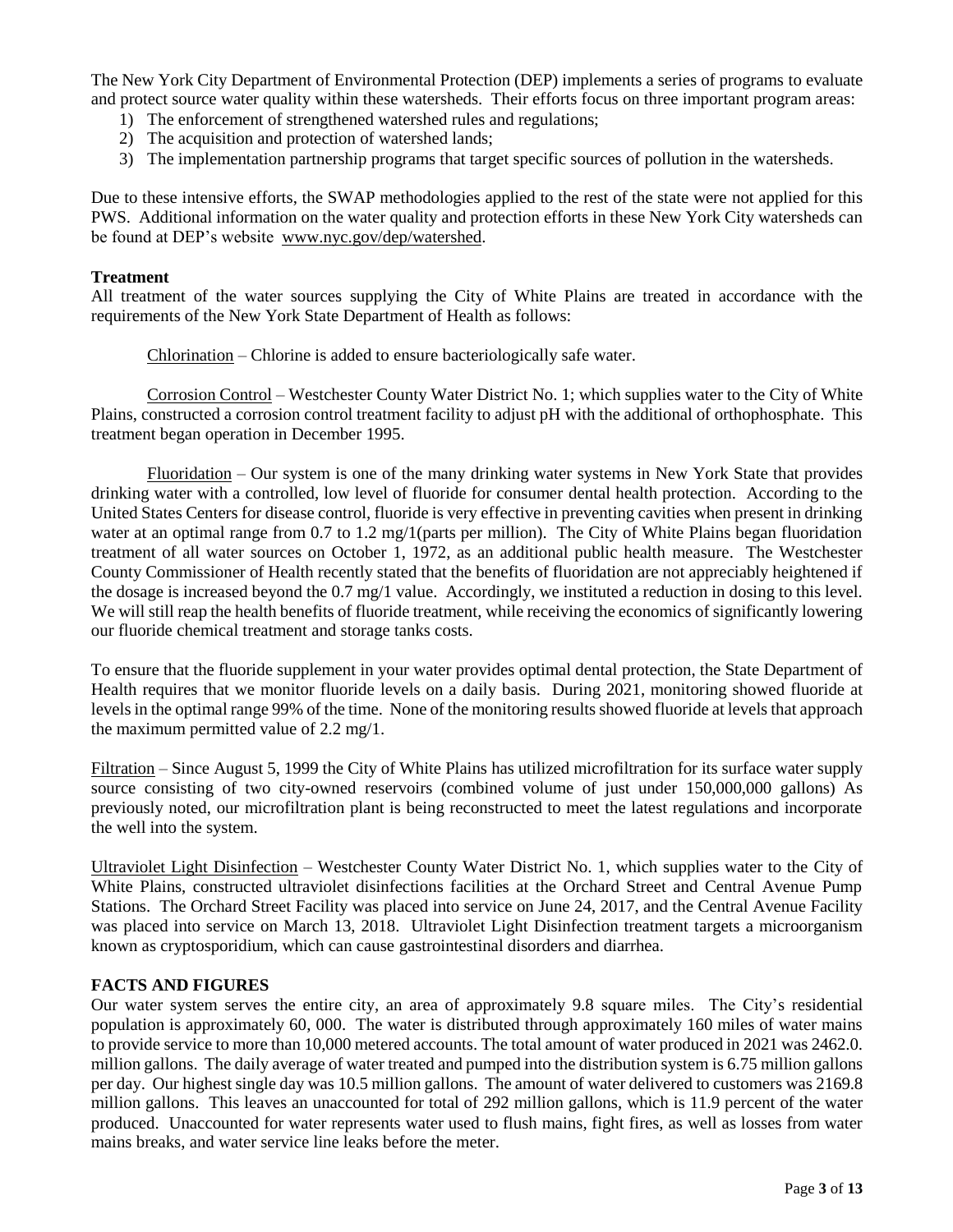The New York City Department of Environmental Protection (DEP) implements a series of programs to evaluate and protect source water quality within these watersheds. Their efforts focus on three important program areas:

- 1) The enforcement of strengthened watershed rules and regulations;
- 2) The acquisition and protection of watershed lands;
- 3) The implementation partnership programs that target specific sources of pollution in the watersheds.

Due to these intensive efforts, the SWAP methodologies applied to the rest of the state were not applied for this PWS. Additional information on the water quality and protection efforts in these New York City watersheds can be found at DEP's website [www.nyc.gov/dep/watershed.](http://www.nyc.gov/dep/watershed)

## **Treatment**

All treatment of the water sources supplying the City of White Plains are treated in accordance with the requirements of the New York State Department of Health as follows:

Chlorination – Chlorine is added to ensure bacteriologically safe water.

Corrosion Control – Westchester County Water District No. 1; which supplies water to the City of White Plains, constructed a corrosion control treatment facility to adjust pH with the additional of orthophosphate. This treatment began operation in December 1995.

Fluoridation – Our system is one of the many drinking water systems in New York State that provides drinking water with a controlled, low level of fluoride for consumer dental health protection. According to the United States Centers for disease control, fluoride is very effective in preventing cavities when present in drinking water at an optimal range from 0.7 to 1.2 mg/1(parts per million). The City of White Plains began fluoridation treatment of all water sources on October 1, 1972, as an additional public health measure. The Westchester County Commissioner of Health recently stated that the benefits of fluoridation are not appreciably heightened if the dosage is increased beyond the 0.7 mg/1 value. Accordingly, we instituted a reduction in dosing to this level. We will still reap the health benefits of fluoride treatment, while receiving the economics of significantly lowering our fluoride chemical treatment and storage tanks costs.

To ensure that the fluoride supplement in your water provides optimal dental protection, the State Department of Health requires that we monitor fluoride levels on a daily basis. During 2021, monitoring showed fluoride at levels in the optimal range 99% of the time. None of the monitoring results showed fluoride at levels that approach the maximum permitted value of 2.2 mg/1.

Filtration – Since August 5, 1999 the City of White Plains has utilized microfiltration for its surface water supply source consisting of two city-owned reservoirs (combined volume of just under 150,000,000 gallons) As previously noted, our microfiltration plant is being reconstructed to meet the latest regulations and incorporate the well into the system.

Ultraviolet Light Disinfection – Westchester County Water District No. 1, which supplies water to the City of White Plains, constructed ultraviolet disinfections facilities at the Orchard Street and Central Avenue Pump Stations. The Orchard Street Facility was placed into service on June 24, 2017, and the Central Avenue Facility was placed into service on March 13, 2018. Ultraviolet Light Disinfection treatment targets a microorganism known as cryptosporidium, which can cause gastrointestinal disorders and diarrhea.

## **FACTS AND FIGURES**

Our water system serves the entire city, an area of approximately 9.8 square miles. The City's residential population is approximately 60, 000. The water is distributed through approximately 160 miles of water mains to provide service to more than 10,000 metered accounts. The total amount of water produced in 2021 was 2462.0. million gallons. The daily average of water treated and pumped into the distribution system is 6.75 million gallons per day. Our highest single day was 10.5 million gallons. The amount of water delivered to customers was 2169.8 million gallons. This leaves an unaccounted for total of 292 million gallons, which is 11.9 percent of the water produced. Unaccounted for water represents water used to flush mains, fight fires, as well as losses from water mains breaks, and water service line leaks before the meter.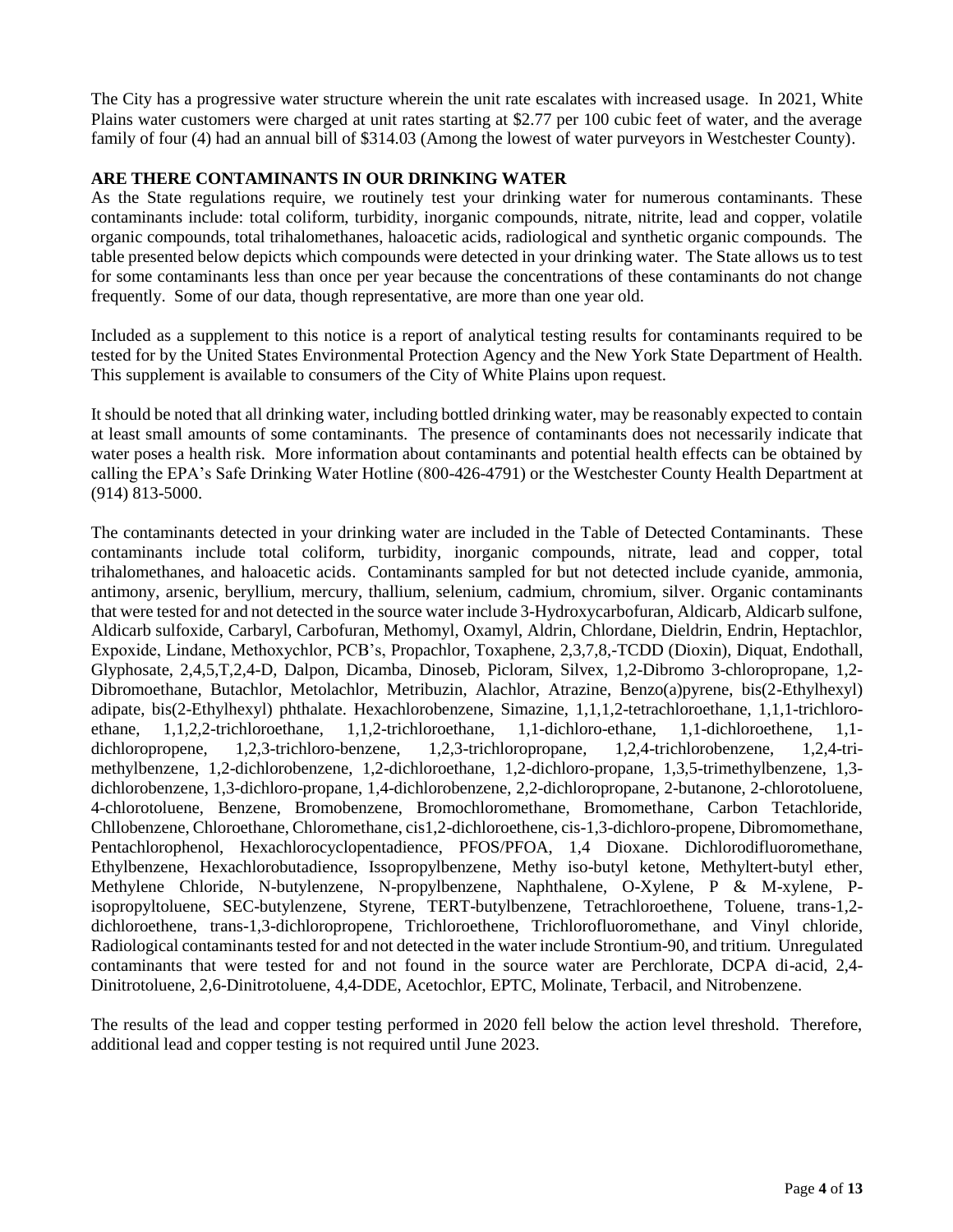The City has a progressive water structure wherein the unit rate escalates with increased usage. In 2021, White Plains water customers were charged at unit rates starting at \$2.77 per 100 cubic feet of water, and the average family of four (4) had an annual bill of \$314.03 (Among the lowest of water purveyors in Westchester County).

## **ARE THERE CONTAMINANTS IN OUR DRINKING WATER**

As the State regulations require, we routinely test your drinking water for numerous contaminants. These contaminants include: total coliform, turbidity, inorganic compounds, nitrate, nitrite, lead and copper, volatile organic compounds, total trihalomethanes, haloacetic acids, radiological and synthetic organic compounds. The table presented below depicts which compounds were detected in your drinking water. The State allows us to test for some contaminants less than once per year because the concentrations of these contaminants do not change frequently. Some of our data, though representative, are more than one year old.

Included as a supplement to this notice is a report of analytical testing results for contaminants required to be tested for by the United States Environmental Protection Agency and the New York State Department of Health. This supplement is available to consumers of the City of White Plains upon request.

It should be noted that all drinking water, including bottled drinking water, may be reasonably expected to contain at least small amounts of some contaminants. The presence of contaminants does not necessarily indicate that water poses a health risk. More information about contaminants and potential health effects can be obtained by calling the EPA's Safe Drinking Water Hotline (800-426-4791) or the Westchester County Health Department at (914) 813-5000.

The contaminants detected in your drinking water are included in the Table of Detected Contaminants. These contaminants include total coliform, turbidity, inorganic compounds, nitrate, lead and copper, total trihalomethanes, and haloacetic acids. Contaminants sampled for but not detected include cyanide, ammonia, antimony, arsenic, beryllium, mercury, thallium, selenium, cadmium, chromium, silver. Organic contaminants that were tested for and not detected in the source water include 3-Hydroxycarbofuran, Aldicarb, Aldicarb sulfone, Aldicarb sulfoxide, Carbaryl, Carbofuran, Methomyl, Oxamyl, Aldrin, Chlordane, Dieldrin, Endrin, Heptachlor, Expoxide, Lindane, Methoxychlor, PCB's, Propachlor, Toxaphene, 2,3,7,8,-TCDD (Dioxin), Diquat, Endothall, Glyphosate, 2,4,5,T,2,4-D, Dalpon, Dicamba, Dinoseb, Picloram, Silvex, 1,2-Dibromo 3-chloropropane, 1,2- Dibromoethane, Butachlor, Metolachlor, Metribuzin, Alachlor, Atrazine, Benzo(a)pyrene, bis(2-Ethylhexyl) adipate, bis(2-Ethylhexyl) phthalate. Hexachlorobenzene, Simazine, 1,1,1,2-tetrachloroethane, 1,1,1-trichloroethane, 1,1,2,2-trichloroethane, 1,1,2-trichloroethane, 1,1-dichloro-ethane, 1,1-dichloroethene, 1,1 dichloropropene, 1,2,3-trichloro-benzene, 1,2,3-trichloropropane, 1,2,4-trichlorobenzene, 1,2,4-trimethylbenzene, 1,2-dichlorobenzene, 1,2-dichloroethane, 1,2-dichloro-propane, 1,3,5-trimethylbenzene, 1,3 dichlorobenzene, 1,3-dichloro-propane, 1,4-dichlorobenzene, 2,2-dichloropropane, 2-butanone, 2-chlorotoluene, 4-chlorotoluene, Benzene, Bromobenzene, Bromochloromethane, Bromomethane, Carbon Tetachloride, Chllobenzene, Chloroethane, Chloromethane, cis1,2-dichloroethene, cis-1,3-dichloro-propene, Dibromomethane, Pentachlorophenol, Hexachlorocyclopentadience, PFOS/PFOA, 1,4 Dioxane. Dichlorodifluoromethane, Ethylbenzene, Hexachlorobutadience, Issopropylbenzene, Methy iso-butyl ketone, Methyltert-butyl ether, Methylene Chloride, N-butylenzene, N-propylbenzene, Naphthalene, O-Xylene, P & M-xylene, Pisopropyltoluene, SEC-butylenzene, Styrene, TERT-butylbenzene, Tetrachloroethene, Toluene, trans-1,2 dichloroethene, trans-1,3-dichloropropene, Trichloroethene, Trichlorofluoromethane, and Vinyl chloride, Radiological contaminants tested for and not detected in the water include Strontium-90, and tritium. Unregulated contaminants that were tested for and not found in the source water are Perchlorate, DCPA di-acid, 2,4- Dinitrotoluene, 2,6-Dinitrotoluene, 4,4-DDE, Acetochlor, EPTC, Molinate, Terbacil, and Nitrobenzene.

The results of the lead and copper testing performed in 2020 fell below the action level threshold. Therefore, additional lead and copper testing is not required until June 2023.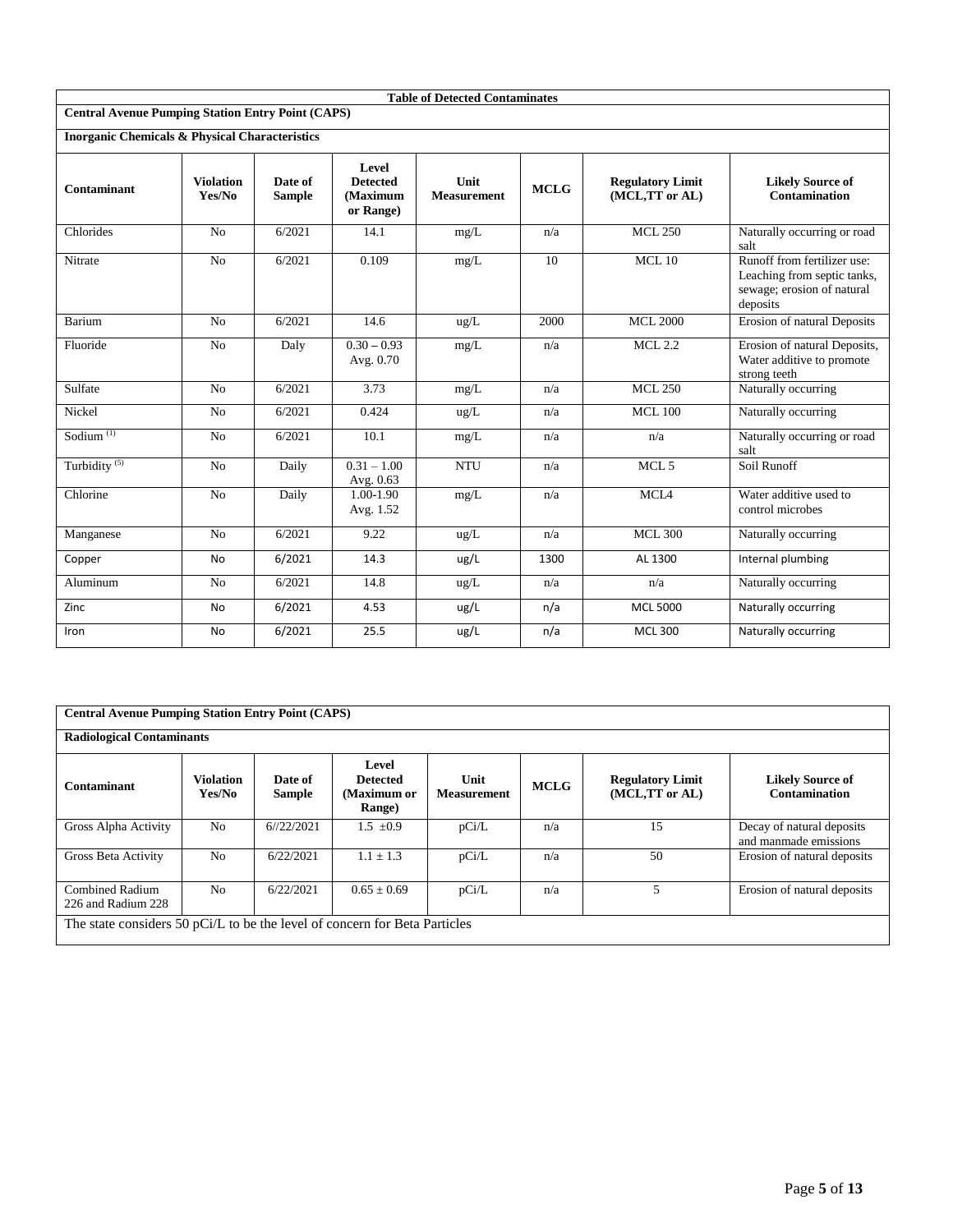|                                                           |                            |                          |                                                   | <b>Table of Detected Contaminates</b> |             |                                           |                                                                                                      |
|-----------------------------------------------------------|----------------------------|--------------------------|---------------------------------------------------|---------------------------------------|-------------|-------------------------------------------|------------------------------------------------------------------------------------------------------|
| <b>Central Avenue Pumping Station Entry Point (CAPS)</b>  |                            |                          |                                                   |                                       |             |                                           |                                                                                                      |
| <b>Inorganic Chemicals &amp; Physical Characteristics</b> |                            |                          |                                                   |                                       |             |                                           |                                                                                                      |
| Contaminant                                               | <b>Violation</b><br>Yes/No | Date of<br><b>Sample</b> | Level<br><b>Detected</b><br>(Maximum<br>or Range) | Unit<br><b>Measurement</b>            | <b>MCLG</b> | <b>Regulatory Limit</b><br>(MCL,TT or AL) | <b>Likely Source of</b><br>Contamination                                                             |
| Chlorides                                                 | N <sub>o</sub>             | 6/2021                   | 14.1                                              | mg/L                                  | n/a         | <b>MCL 250</b>                            | Naturally occurring or road<br>salt                                                                  |
| Nitrate                                                   | N <sub>o</sub>             | 6/2021                   | 0.109                                             | mg/L                                  | 10          | $MCL$ 10                                  | Runoff from fertilizer use:<br>Leaching from septic tanks,<br>sewage; erosion of natural<br>deposits |
| Barium                                                    | N <sub>o</sub>             | 6/2021                   | 14.6                                              | ug/L                                  | 2000        | <b>MCL 2000</b>                           | Erosion of natural Deposits                                                                          |
| Fluoride                                                  | No                         | Daly                     | $\overline{0.30} - 0.93$<br>Avg. 0.70             | mg/L                                  | n/a         | <b>MCL 2.2</b>                            | Erosion of natural Deposits,<br>Water additive to promote<br>strong teeth                            |
| Sulfate                                                   | No                         | 6/2021                   | 3.73                                              | mg/L                                  | n/a         | <b>MCL 250</b>                            | Naturally occurring                                                                                  |
| Nickel                                                    | No                         | 6/2021                   | 0.424                                             | ug/L                                  | n/a         | <b>MCL 100</b>                            | Naturally occurring                                                                                  |
| Sodium <sup>(1)</sup>                                     | N <sub>o</sub>             | 6/2021                   | 10.1                                              | mg/L                                  | n/a         | n/a                                       | Naturally occurring or road<br>salt                                                                  |
| Turbidity <sup>(5)</sup>                                  | No                         | Daily                    | $0.31 - 1.00$<br>Avg. 0.63                        | <b>NTU</b>                            | n/a         | MCL <sub>5</sub>                          | Soil Runoff                                                                                          |
| Chlorine                                                  | No                         | Daily                    | 1.00-1.90<br>Avg. 1.52                            | mg/L                                  | n/a         | MCL <sub>4</sub>                          | Water additive used to<br>control microbes                                                           |
| Manganese                                                 | No                         | 6/2021                   | 9.22                                              | ug/L                                  | n/a         | <b>MCL 300</b>                            | Naturally occurring                                                                                  |
| Copper                                                    | <b>No</b>                  | 6/2021                   | 14.3                                              | ug/L                                  | 1300        | AL 1300                                   | Internal plumbing                                                                                    |
| Aluminum                                                  | N <sub>o</sub>             | 6/2021                   | 14.8                                              | ug/L                                  | n/a         | n/a                                       | Naturally occurring                                                                                  |
| Zinc                                                      | No                         | 6/2021                   | 4.53                                              | ug/L                                  | n/a         | <b>MCL 5000</b>                           | Naturally occurring                                                                                  |
| Iron                                                      | <b>No</b>                  | 6/2021                   | 25.5                                              | ug/L                                  | n/a         | <b>MCL 300</b>                            | Naturally occurring                                                                                  |

|                                                                            | <b>Central Avenue Pumping Station Entry Point (CAPS)</b> |                          |                                                   |                            |             |                                           |                                                    |  |  |  |  |  |
|----------------------------------------------------------------------------|----------------------------------------------------------|--------------------------|---------------------------------------------------|----------------------------|-------------|-------------------------------------------|----------------------------------------------------|--|--|--|--|--|
| <b>Radiological Contaminants</b>                                           |                                                          |                          |                                                   |                            |             |                                           |                                                    |  |  |  |  |  |
| Contaminant                                                                | <b>Violation</b><br>Yes/No                               | Date of<br><b>Sample</b> | Level<br><b>Detected</b><br>(Maximum or<br>Range) | Unit<br><b>Measurement</b> | <b>MCLG</b> | <b>Regulatory Limit</b><br>(MCL,TT or AL) | <b>Likely Source of</b><br>Contamination           |  |  |  |  |  |
| Gross Alpha Activity                                                       | N <sub>0</sub>                                           | 6/22/2021                | $1.5 \pm 0.9$                                     | pCi/L                      | n/a         | 15                                        | Decay of natural deposits<br>and manmade emissions |  |  |  |  |  |
| Gross Beta Activity                                                        | N <sub>0</sub>                                           | 6/22/2021                | $1.1 + 1.3$                                       | pCi/L                      | n/a         | 50                                        | Erosion of natural deposits                        |  |  |  |  |  |
| <b>Combined Radium</b><br>226 and Radium 228                               | N <sub>0</sub>                                           | 6/22/2021                | $0.65 + 0.69$                                     | pCi/L                      | n/a         | 5.                                        | Erosion of natural deposits                        |  |  |  |  |  |
| The state considers 50 pCi/L to be the level of concern for Beta Particles |                                                          |                          |                                                   |                            |             |                                           |                                                    |  |  |  |  |  |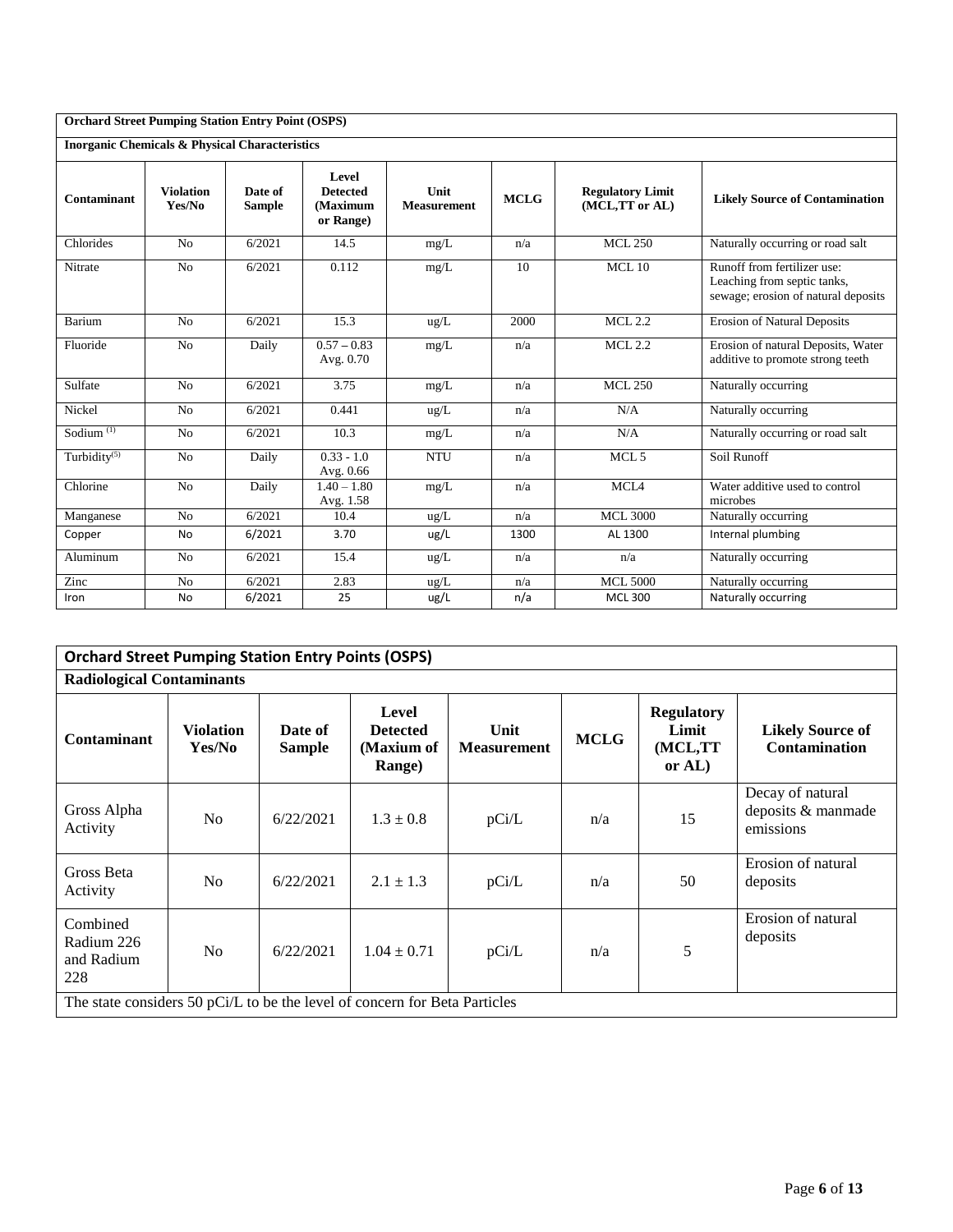| <b>Orchard Street Pumping Station Entry Point (OSPS)</b>  |                            |                          |                                                   |                            |             |                                           |                                                                                                   |
|-----------------------------------------------------------|----------------------------|--------------------------|---------------------------------------------------|----------------------------|-------------|-------------------------------------------|---------------------------------------------------------------------------------------------------|
| <b>Inorganic Chemicals &amp; Physical Characteristics</b> |                            |                          |                                                   |                            |             |                                           |                                                                                                   |
| Contaminant                                               | <b>Violation</b><br>Yes/No | Date of<br><b>Sample</b> | Level<br><b>Detected</b><br>(Maximum<br>or Range) | Unit<br><b>Measurement</b> | <b>MCLG</b> | <b>Regulatory Limit</b><br>(MCL,TT or AL) | <b>Likely Source of Contamination</b>                                                             |
| Chlorides                                                 | No                         | 6/2021                   | 14.5                                              | mg/L                       | n/a         | <b>MCL 250</b>                            | Naturally occurring or road salt                                                                  |
| Nitrate                                                   | No                         | 6/2021                   | 0.112                                             | mg/L                       | 10          | $MCL$ 10                                  | Runoff from fertilizer use:<br>Leaching from septic tanks,<br>sewage; erosion of natural deposits |
| Barium                                                    | No                         | 6/2021                   | 15.3                                              | ug/L                       | 2000        | <b>MCL 2.2</b>                            | <b>Erosion of Natural Deposits</b>                                                                |
| Fluoride                                                  | No                         | Daily                    | $0.57 - 0.83$<br>Avg. 0.70                        | mg/L                       | n/a         | <b>MCL 2.2</b>                            | Erosion of natural Deposits, Water<br>additive to promote strong teeth                            |
| Sulfate                                                   | No                         | 6/2021                   | 3.75                                              | mg/L                       | n/a         | <b>MCL 250</b>                            | Naturally occurring                                                                               |
| Nickel                                                    | No                         | 6/2021                   | 0.441                                             | ug/L                       | n/a         | N/A                                       | Naturally occurring                                                                               |
| Sodium $\overline{^{(1)}}$                                | No                         | 6/2021                   | 10.3                                              | mg/L                       | n/a         | N/A                                       | Naturally occurring or road salt                                                                  |
| Turbidity <sup>(5)</sup>                                  | No                         | Daily                    | $0.33 - 1.0$<br>Avg. 0.66                         | <b>NTU</b>                 | n/a         | MCL <sub>5</sub>                          | Soil Runoff                                                                                       |
| Chlorine                                                  | No                         | Daily                    | $1.40 - 1.80$<br>Avg. 1.58                        | mg/L                       | n/a         | MCIA                                      | Water additive used to control<br>microbes                                                        |
| Manganese                                                 | No                         | 6/2021                   | 10.4                                              | ug/L                       | n/a         | <b>MCL 3000</b>                           | Naturally occurring                                                                               |
| Copper                                                    | <b>No</b>                  | 6/2021                   | 3.70                                              | ug/L                       | 1300        | AL 1300                                   | Internal plumbing                                                                                 |
| Aluminum                                                  | No                         | 6/2021                   | 15.4                                              | ug/L                       | n/a         | n/a                                       | Naturally occurring                                                                               |
| Zinc                                                      | No                         | 6/2021                   | 2.83                                              | ug/L                       | n/a         | <b>MCL 5000</b>                           | Naturally occurring                                                                               |
| Iron                                                      | <b>No</b>                  | 6/2021                   | 25                                                | ug/L                       | n/a         | <b>MCL 300</b>                            | Naturally occurring                                                                               |

| <b>Orchard Street Pumping Station Entry Points (OSPS)</b>                  |                            |                          |                                                  |                            |             |                                                    |                                                     |
|----------------------------------------------------------------------------|----------------------------|--------------------------|--------------------------------------------------|----------------------------|-------------|----------------------------------------------------|-----------------------------------------------------|
| <b>Radiological Contaminants</b>                                           |                            |                          |                                                  |                            |             |                                                    |                                                     |
| <b>Contaminant</b>                                                         | <b>Violation</b><br>Yes/No | Date of<br><b>Sample</b> | Level<br><b>Detected</b><br>(Maxium of<br>Range) | Unit<br><b>Measurement</b> | <b>MCLG</b> | <b>Regulatory</b><br>Limit<br>(MCL,TT<br>or $AL$ ) | <b>Likely Source of</b><br><b>Contamination</b>     |
| Gross Alpha<br>Activity                                                    | N <sub>o</sub>             | 6/22/2021                | $1.3 \pm 0.8$                                    | pCi/L                      | n/a         | 15                                                 | Decay of natural<br>deposits & manmade<br>emissions |
| Gross Beta<br>Activity                                                     | N <sub>0</sub>             | 6/22/2021                | $2.1 \pm 1.3$                                    | pCi/L                      | n/a         | 50                                                 | Erosion of natural<br>deposits                      |
| Combined<br>Radium 226<br>and Radium<br>228                                | N <sub>o</sub>             | 6/22/2021                | $1.04 \pm 0.71$                                  | pCi/L                      | n/a         | 5                                                  | Erosion of natural<br>deposits                      |
| The state considers 50 pCi/L to be the level of concern for Beta Particles |                            |                          |                                                  |                            |             |                                                    |                                                     |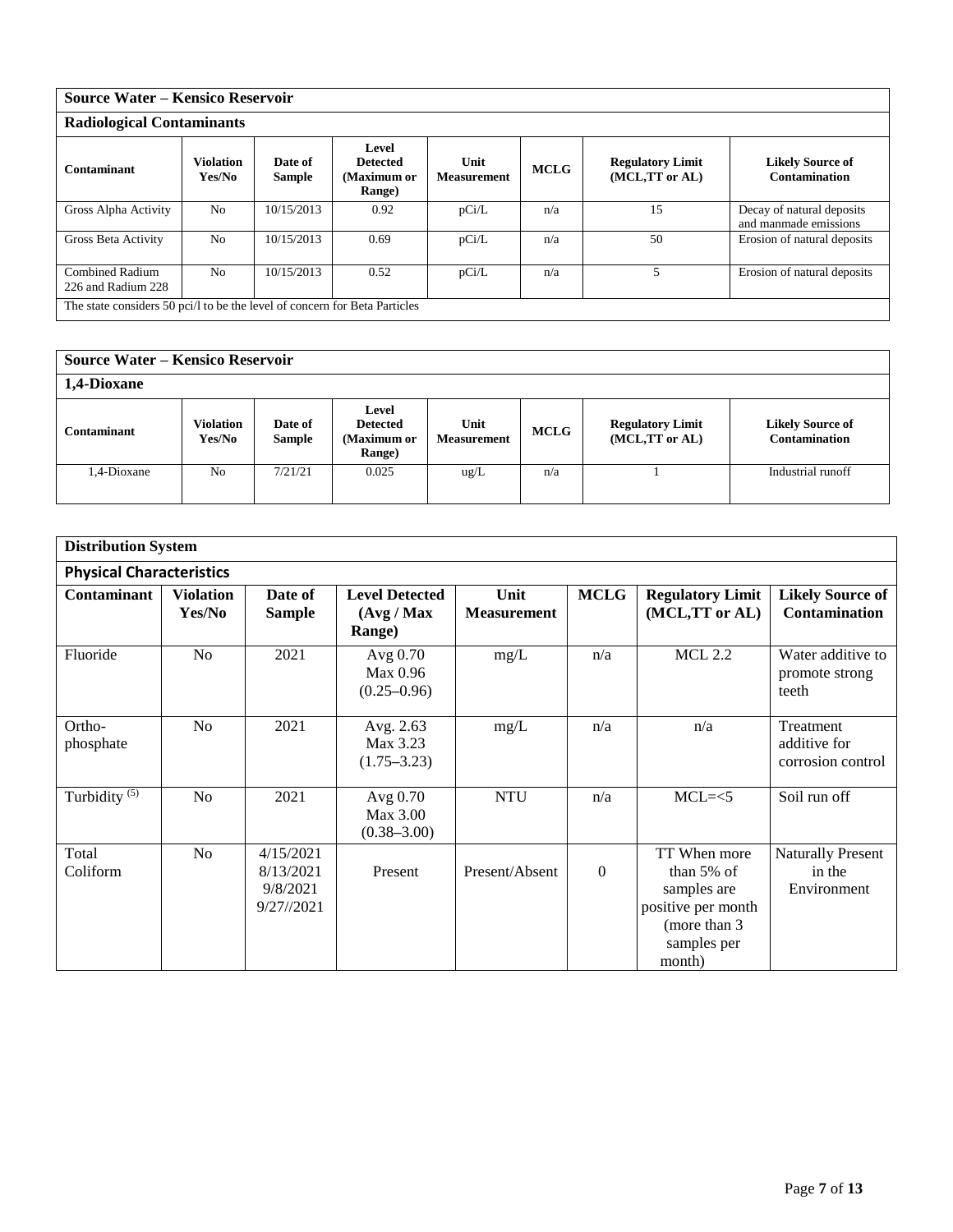| Source Water – Kensico Reservoir                                           |                            |                          |                                                           |                            |             |                                           |                                                    |  |  |  |  |
|----------------------------------------------------------------------------|----------------------------|--------------------------|-----------------------------------------------------------|----------------------------|-------------|-------------------------------------------|----------------------------------------------------|--|--|--|--|
| <b>Radiological Contaminants</b>                                           |                            |                          |                                                           |                            |             |                                           |                                                    |  |  |  |  |
| Contaminant                                                                | <b>Violation</b><br>Yes/No | Date of<br><b>Sample</b> | Level<br><b>Detected</b><br>(Maximum or<br><b>Range</b> ) | Unit<br><b>Measurement</b> | <b>MCLG</b> | <b>Regulatory Limit</b><br>(MCL,TT or AL) | <b>Likely Source of</b><br>Contamination           |  |  |  |  |
| Gross Alpha Activity                                                       | N <sub>o</sub>             | 10/15/2013               | 0.92                                                      | pCi/L                      | n/a         | 15                                        | Decay of natural deposits<br>and manmade emissions |  |  |  |  |
| Gross Beta Activity                                                        | N <sub>0</sub>             | 10/15/2013               | 0.69                                                      | pCi/L                      | n/a         | 50                                        | Erosion of natural deposits                        |  |  |  |  |
| <b>Combined Radium</b><br>226 and Radium 228                               | N <sub>0</sub>             | 10/15/2013               | 0.52                                                      | pCi/L                      | n/a         |                                           | Erosion of natural deposits                        |  |  |  |  |
| The state considers 50 pci/l to be the level of concern for Beta Particles |                            |                          |                                                           |                            |             |                                           |                                                    |  |  |  |  |

| <b>Source Water – Kensico Reservoir</b> |                            |                   |                                                   |                            |             |                                           |                                                 |  |  |  |
|-----------------------------------------|----------------------------|-------------------|---------------------------------------------------|----------------------------|-------------|-------------------------------------------|-------------------------------------------------|--|--|--|
| 1,4-Dioxane                             |                            |                   |                                                   |                            |             |                                           |                                                 |  |  |  |
| <b>Contaminant</b>                      | <b>Violation</b><br>Yes/No | Date of<br>Sample | Level<br><b>Detected</b><br>(Maximum or<br>Range) | Unit<br><b>Measurement</b> | <b>MCLG</b> | <b>Regulatory Limit</b><br>(MCL,TT or AL) | <b>Likely Source of</b><br><b>Contamination</b> |  |  |  |
| 1,4-Dioxane                             | No                         | 7/21/21           | 0.025                                             | $\text{ug/L}$              | n/a         |                                           | Industrial runoff                               |  |  |  |

| <b>Distribution System</b>      |                            |                                                     |                                                        |                            |             |                                                                                                              |                                                   |
|---------------------------------|----------------------------|-----------------------------------------------------|--------------------------------------------------------|----------------------------|-------------|--------------------------------------------------------------------------------------------------------------|---------------------------------------------------|
| <b>Physical Characteristics</b> |                            |                                                     |                                                        |                            |             |                                                                                                              |                                                   |
| Contaminant                     | <b>Violation</b><br>Yes/No | Date of<br><b>Sample</b>                            | <b>Level Detected</b><br>(Avg / Max)<br><b>Range</b> ) | Unit<br><b>Measurement</b> | <b>MCLG</b> | <b>Regulatory Limit</b><br>(MCL,TT or AL)                                                                    | <b>Likely Source of</b><br>Contamination          |
| Fluoride                        | N <sub>o</sub>             | 2021                                                | Avg 0.70<br>Max 0.96<br>$(0.25 - 0.96)$                | mg/L                       | n/a         | <b>MCL 2.2</b>                                                                                               | Water additive to<br>promote strong<br>teeth      |
| Ortho-<br>phosphate             | No                         | 2021                                                | Avg. 2.63<br>Max 3.23<br>$(1.75 - 3.23)$               | mg/L                       | n/a         | n/a                                                                                                          | Treatment<br>additive for<br>corrosion control    |
| Turbidity $\sqrt{(5)}$          | N <sub>o</sub>             | 2021                                                | Avg 0.70<br>Max 3.00<br>$(0.38 - 3.00)$                | <b>NTU</b>                 | n/a         | $MCL=<5$                                                                                                     | Soil run off                                      |
| Total<br>Coliform               | No                         | 4/15/2021<br>8/13/2021<br>9/8/2021<br>$9/27$ //2021 | Present                                                | Present/Absent             | $\theta$    | TT When more<br>than $5\%$ of<br>samples are<br>positive per month<br>(more than 3)<br>samples per<br>month) | <b>Naturally Present</b><br>in the<br>Environment |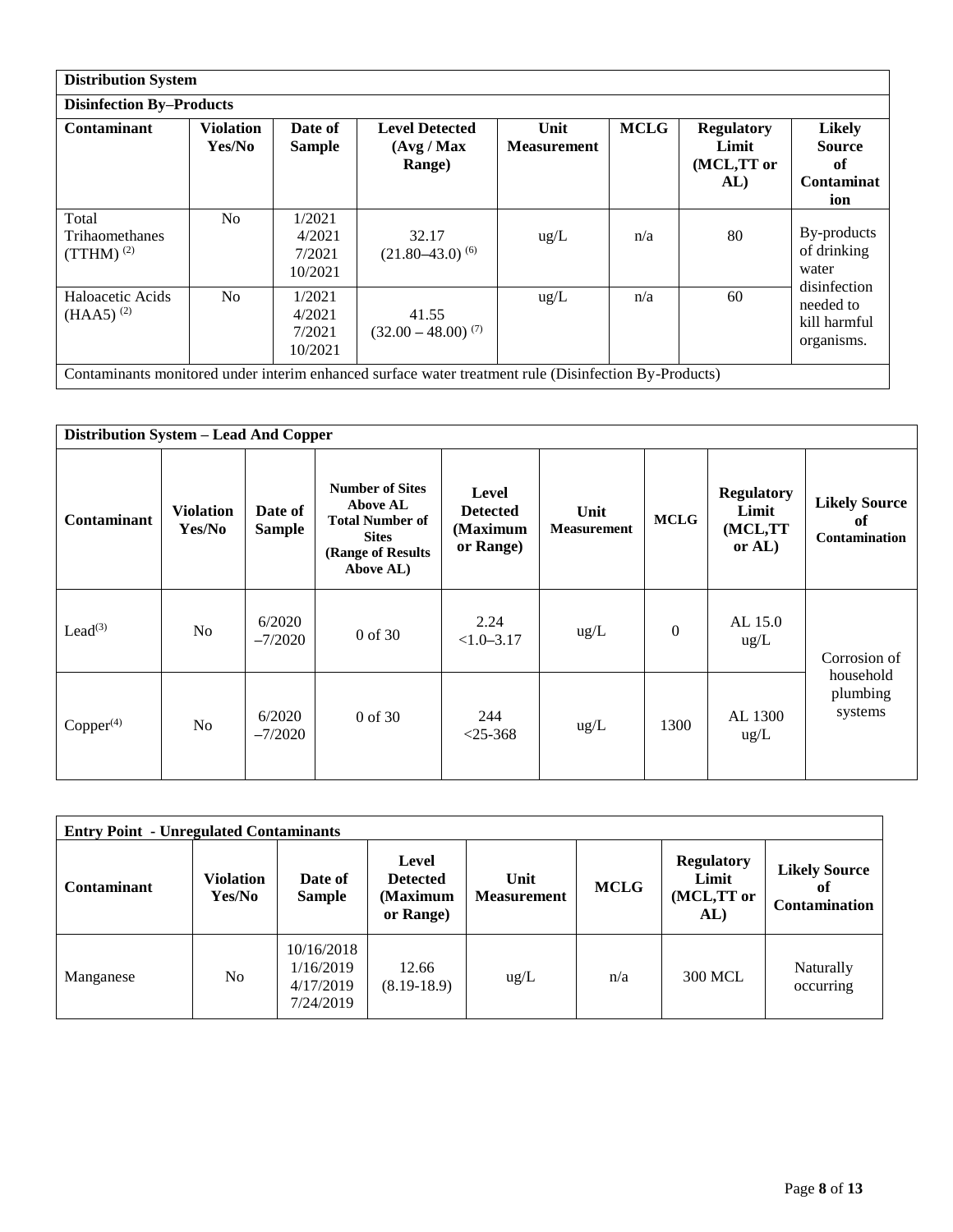|                                                  | <b>Distribution System</b> |                                       |                                                                                                       |                            |             |                                                 |                                                                  |  |  |  |  |  |
|--------------------------------------------------|----------------------------|---------------------------------------|-------------------------------------------------------------------------------------------------------|----------------------------|-------------|-------------------------------------------------|------------------------------------------------------------------|--|--|--|--|--|
| <b>Disinfection By-Products</b>                  |                            |                                       |                                                                                                       |                            |             |                                                 |                                                                  |  |  |  |  |  |
| <b>Contaminant</b>                               | <b>Violation</b><br>Yes/No | Date of<br><b>Sample</b>              | <b>Level Detected</b><br>(Avg / Max)<br><b>Range</b> )                                                | Unit<br><b>Measurement</b> | <b>MCLG</b> | <b>Regulatory</b><br>Limit<br>(MCL,TT or<br>AL) | <b>Likely</b><br><b>Source</b><br>of<br><b>Contaminat</b><br>ion |  |  |  |  |  |
| Total<br><b>Trihaomethanes</b><br>$(TTHM)^{(2)}$ | N <sub>0</sub>             | 1/2021<br>4/2021<br>7/2021<br>10/2021 | 32.17<br>$(21.80 - 43.0)^{(6)}$                                                                       | $\text{ug/L}$              | n/a         | 80                                              | By-products<br>of drinking<br>water                              |  |  |  |  |  |
| Haloacetic Acids<br>$(HAA5)^{(2)}$               | N <sub>o</sub>             | 1/2021<br>4/2021<br>7/2021<br>10/2021 | 41.55<br>$(32.00 - 48.00)^{(7)}$                                                                      | $\text{ug/L}$              | n/a         | 60                                              | disinfection<br>needed to<br>kill harmful<br>organisms.          |  |  |  |  |  |
|                                                  |                            |                                       | Contaminants monitored under interim enhanced surface water treatment rule (Disinfection By-Products) |                            |             |                                                 |                                                                  |  |  |  |  |  |

|                     | Distribution System - Lead And Copper |                          |                                                                                                                        |                                                   |                            |              |                                                    |                                                    |  |  |  |  |
|---------------------|---------------------------------------|--------------------------|------------------------------------------------------------------------------------------------------------------------|---------------------------------------------------|----------------------------|--------------|----------------------------------------------------|----------------------------------------------------|--|--|--|--|
| <b>Contaminant</b>  | <b>Violation</b><br>Yes/No            | Date of<br><b>Sample</b> | <b>Number of Sites</b><br><b>Above AL</b><br><b>Total Number of</b><br><b>Sites</b><br>(Range of Results)<br>Above AL) | Level<br><b>Detected</b><br>(Maximum<br>or Range) | Unit<br><b>Measurement</b> | <b>MCLG</b>  | <b>Regulatory</b><br>Limit<br>(MCL,TT<br>or $AL$ ) | <b>Likely Source</b><br>of<br><b>Contamination</b> |  |  |  |  |
| Lead <sup>(3)</sup> | N <sub>o</sub>                        | 6/2020<br>$-7/2020$      | $0$ of 30                                                                                                              | 2.24<br>$<1.0 - 3.17$                             | ug/L                       | $\mathbf{0}$ | AL 15.0<br>$\text{ug/L}$                           | Corrosion of                                       |  |  |  |  |
| $Copper^{(4)}$      | N <sub>0</sub>                        | 6/2020<br>$-7/2020$      | $0$ of 30                                                                                                              | 244<br>$< 25 - 368$                               | $\text{ug/L}$              | 1300         | AL 1300<br>$\text{ug/L}$                           | household<br>plumbing<br>systems                   |  |  |  |  |

| <b>Entry Point - Unregulated Contaminants</b> |                     |                                                   |                                                   |                            |             |                                                 |                                                    |  |  |  |  |
|-----------------------------------------------|---------------------|---------------------------------------------------|---------------------------------------------------|----------------------------|-------------|-------------------------------------------------|----------------------------------------------------|--|--|--|--|
| <b>Contaminant</b>                            | Violation<br>Yes/No | Date of<br><b>Sample</b>                          | Level<br><b>Detected</b><br>(Maximum<br>or Range) | Unit<br><b>Measurement</b> | <b>MCLG</b> | <b>Regulatory</b><br>Limit<br>(MCL,TT or<br>AL) | <b>Likely Source</b><br>оť<br><b>Contamination</b> |  |  |  |  |
| Manganese                                     | N <sub>o</sub>      | 10/16/2018<br>1/16/2019<br>4/17/2019<br>7/24/2019 | 12.66<br>$(8.19-18.9)$                            | $\text{ug/L}$              | n/a         | 300 MCL                                         | Naturally<br>occurring                             |  |  |  |  |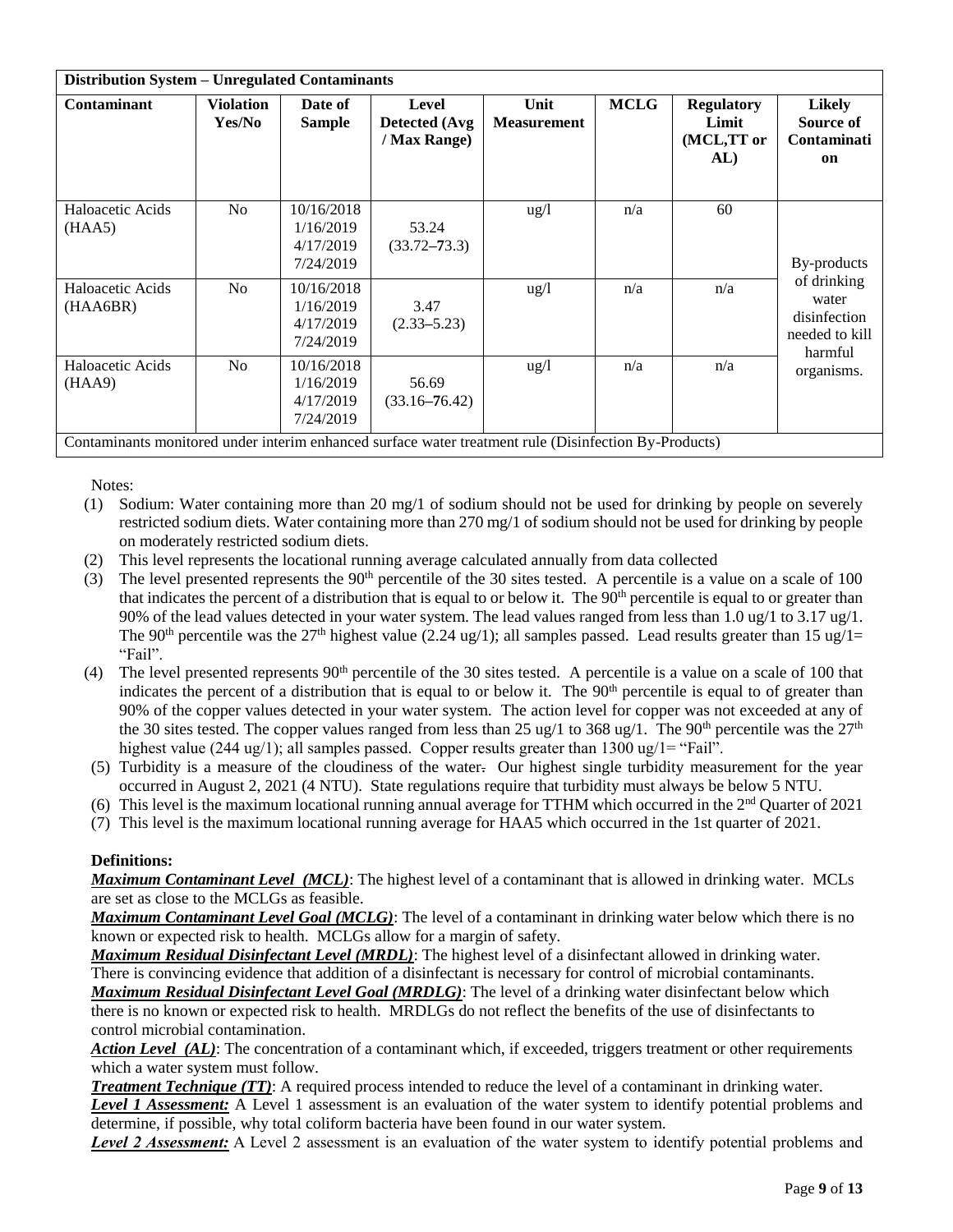| <b>Distribution System - Unregulated Contaminants</b>                                                 |                            |                                                   |                                        |                            |             |                                                 |                                                                   |
|-------------------------------------------------------------------------------------------------------|----------------------------|---------------------------------------------------|----------------------------------------|----------------------------|-------------|-------------------------------------------------|-------------------------------------------------------------------|
| <b>Contaminant</b>                                                                                    | <b>Violation</b><br>Yes/No | Date of<br><b>Sample</b>                          | Level<br>Detected (Avg<br>/ Max Range) | Unit<br><b>Measurement</b> | <b>MCLG</b> | <b>Regulatory</b><br>Limit<br>(MCL,TT or<br>AL) | Likely<br>Source of<br>Contaminati<br>on                          |
| Haloacetic Acids<br>(HAA5)                                                                            | N <sub>o</sub>             | 10/16/2018<br>1/16/2019<br>4/17/2019<br>7/24/2019 | 53.24<br>$(33.72 - 73.3)$              | $\frac{u g}{l}$            | n/a         | 60                                              | By-products                                                       |
| Haloacetic Acids<br>(HAA6BR)                                                                          | N <sub>o</sub>             | 10/16/2018<br>1/16/2019<br>4/17/2019<br>7/24/2019 | 3.47<br>$(2.33 - 5.23)$                | $\frac{u g}{l}$            | n/a         | n/a                                             | of drinking<br>water<br>disinfection<br>needed to kill<br>harmful |
| Haloacetic Acids<br>(HAA9)                                                                            | N <sub>o</sub>             | 10/16/2018<br>1/16/2019<br>4/17/2019<br>7/24/2019 | 56.69<br>$(33.16 - 76.42)$             | $\frac{u g}{l}$            | n/a         | n/a                                             | organisms.                                                        |
| Contaminants monitored under interim enhanced surface water treatment rule (Disinfection By-Products) |                            |                                                   |                                        |                            |             |                                                 |                                                                   |

Notes:

- (1) Sodium: Water containing more than 20 mg/1 of sodium should not be used for drinking by people on severely restricted sodium diets. Water containing more than 270 mg/1 of sodium should not be used for drinking by people on moderately restricted sodium diets.
- (2) This level represents the locational running average calculated annually from data collected
- (3) The level presented represents the  $90<sup>th</sup>$  percentile of the 30 sites tested. A percentile is a value on a scale of 100 that indicates the percent of a distribution that is equal to or below it. The  $90<sup>th</sup>$  percentile is equal to or greater than 90% of the lead values detected in your water system. The lead values ranged from less than 1.0 ug/1 to 3.17 ug/1. The 90<sup>th</sup> percentile was the 27<sup>th</sup> highest value (2.24 ug/1); all samples passed. Lead results greater than 15 ug/1= "Fail".
- (4) The level presented represents  $90<sup>th</sup>$  percentile of the 30 sites tested. A percentile is a value on a scale of 100 that indicates the percent of a distribution that is equal to or below it. The 90<sup>th</sup> percentile is equal to of greater than 90% of the copper values detected in your water system. The action level for copper was not exceeded at any of the 30 sites tested. The copper values ranged from less than 25 ug/1 to 368 ug/1. The 90<sup>th</sup> percentile was the  $27<sup>th</sup>$ highest value (244 ug/1); all samples passed. Copper results greater than  $1300 \text{ ug/l} =$  "Fail".
- (5) Turbidity is a measure of the cloudiness of the water. Our highest single turbidity measurement for the year occurred in August 2, 2021 (4 NTU). State regulations require that turbidity must always be below 5 NTU.
- (6) This level is the maximum locational running annual average for TTHM which occurred in the  $2<sup>nd</sup>$  Quarter of 2021
- (7) This level is the maximum locational running average for HAA5 which occurred in the 1st quarter of 2021.

## **Definitions:**

*Maximum Contaminant Level (MCL)*: The highest level of a contaminant that is allowed in drinking water. MCLs are set as close to the MCLGs as feasible.

*Maximum Contaminant Level Goal (MCLG)*: The level of a contaminant in drinking water below which there is no known or expected risk to health. MCLGs allow for a margin of safety.

*Maximum Residual Disinfectant Level (MRDL)*: The highest level of a disinfectant allowed in drinking water. There is convincing evidence that addition of a disinfectant is necessary for control of microbial contaminants. *Maximum Residual Disinfectant Level Goal (MRDLG)*: The level of a drinking water disinfectant below which there is no known or expected risk to health. MRDLGs do not reflect the benefits of the use of disinfectants to control microbial contamination.

*Action Level (AL)*: The concentration of a contaminant which, if exceeded, triggers treatment or other requirements which a water system must follow.

*Treatment Technique (TT)*: A required process intended to reduce the level of a contaminant in drinking water.

*Level 1 Assessment:* A Level 1 assessment is an evaluation of the water system to identify potential problems and determine, if possible, why total coliform bacteria have been found in our water system.

*Level 2 Assessment:* A Level 2 assessment is an evaluation of the water system to identify potential problems and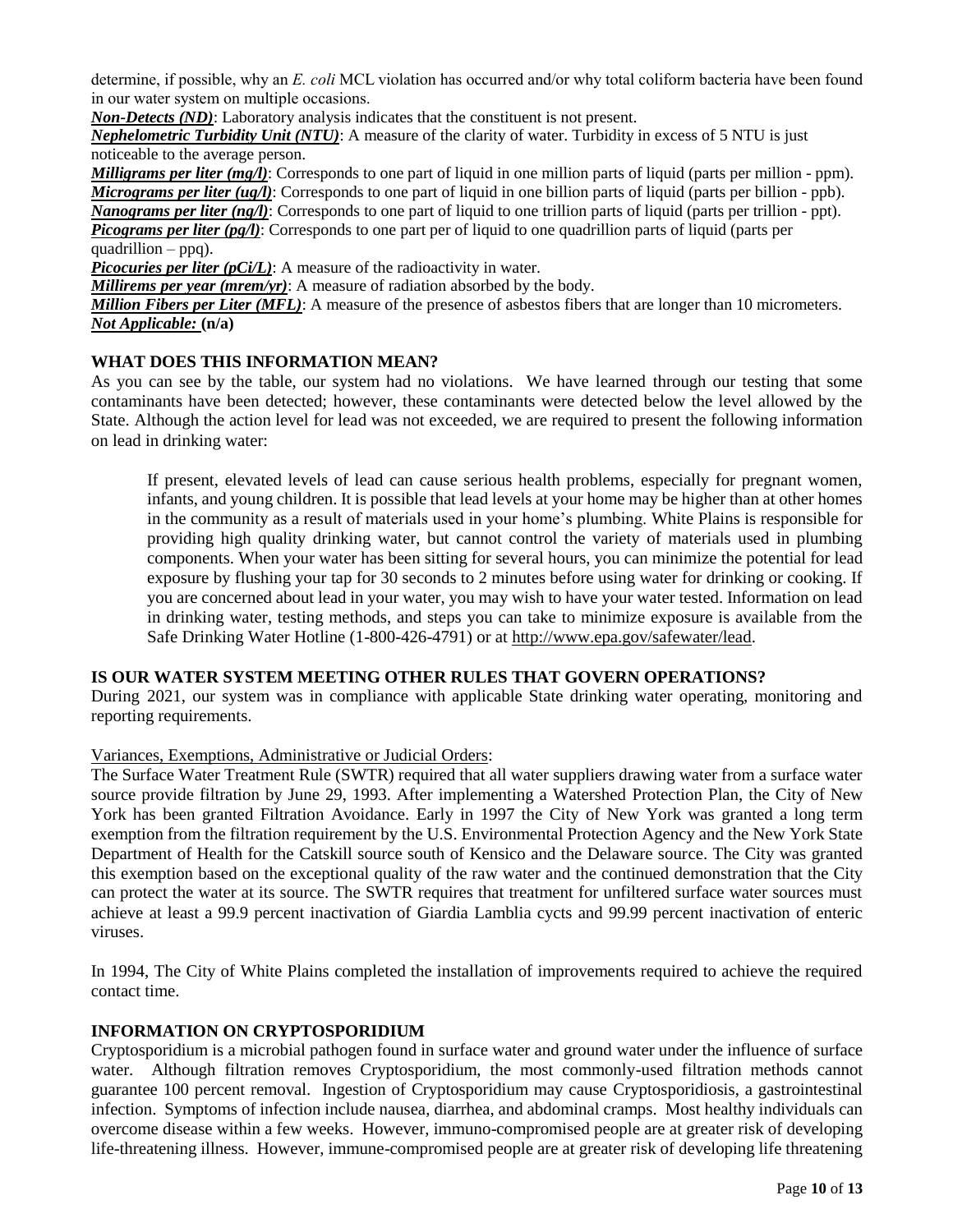determine, if possible, why an *E. coli* MCL violation has occurred and/or why total coliform bacteria have been found in our water system on multiple occasions.

*Non-Detects (ND)*: Laboratory analysis indicates that the constituent is not present.

*Nephelometric Turbidity Unit (NTU)*: A measure of the clarity of water. Turbidity in excess of 5 NTU is just noticeable to the average person.

*Milligrams per liter (mg/l)*: Corresponds to one part of liquid in one million parts of liquid (parts per million - ppm). *Micrograms per liter (ug/l)*: Corresponds to one part of liquid in one billion parts of liquid (parts per billion - ppb). *Nanograms per liter (ng/l)*: Corresponds to one part of liquid to one trillion parts of liquid (parts per trillion - ppt). *Picograms per liter (pg/l)*: Corresponds to one part per of liquid to one quadrillion parts of liquid (parts per quadrillion – ppq).

*Picocuries per liter (pCi/L)*: A measure of the radioactivity in water.

*Millirems per year (mrem/yr)*: A measure of radiation absorbed by the body.

*Million Fibers per Liter (MFL)*: A measure of the presence of asbestos fibers that are longer than 10 micrometers. *Not Applicable:* **(n/a)** 

## **WHAT DOES THIS INFORMATION MEAN?**

As you can see by the table, our system had no violations. We have learned through our testing that some contaminants have been detected; however, these contaminants were detected below the level allowed by the State. Although the action level for lead was not exceeded, we are required to present the following information on lead in drinking water:

If present, elevated levels of lead can cause serious health problems, especially for pregnant women, infants, and young children. It is possible that lead levels at your home may be higher than at other homes in the community as a result of materials used in your home's plumbing. White Plains is responsible for providing high quality drinking water, but cannot control the variety of materials used in plumbing components. When your water has been sitting for several hours, you can minimize the potential for lead exposure by flushing your tap for 30 seconds to 2 minutes before using water for drinking or cooking. If you are concerned about lead in your water, you may wish to have your water tested. Information on lead in drinking water, testing methods, and steps you can take to minimize exposure is available from the Safe Drinking Water Hotline (1-800-426-4791) or at http://www.epa.gov/safewater/lead.

## **IS OUR WATER SYSTEM MEETING OTHER RULES THAT GOVERN OPERATIONS?**

During 2021, our system was in compliance with applicable State drinking water operating, monitoring and reporting requirements.

## Variances, Exemptions, Administrative or Judicial Orders:

The Surface Water Treatment Rule (SWTR) required that all water suppliers drawing water from a surface water source provide filtration by June 29, 1993. After implementing a Watershed Protection Plan, the City of New York has been granted Filtration Avoidance. Early in 1997 the City of New York was granted a long term exemption from the filtration requirement by the U.S. Environmental Protection Agency and the New York State Department of Health for the Catskill source south of Kensico and the Delaware source. The City was granted this exemption based on the exceptional quality of the raw water and the continued demonstration that the City can protect the water at its source. The SWTR requires that treatment for unfiltered surface water sources must achieve at least a 99.9 percent inactivation of Giardia Lamblia cycts and 99.99 percent inactivation of enteric viruses.

In 1994, The City of White Plains completed the installation of improvements required to achieve the required contact time.

## **INFORMATION ON CRYPTOSPORIDIUM**

Cryptosporidium is a microbial pathogen found in surface water and ground water under the influence of surface water. Although filtration removes Cryptosporidium, the most commonly-used filtration methods cannot guarantee 100 percent removal. Ingestion of Cryptosporidium may cause Cryptosporidiosis, a gastrointestinal infection. Symptoms of infection include nausea, diarrhea, and abdominal cramps. Most healthy individuals can overcome disease within a few weeks. However, immuno-compromised people are at greater risk of developing life-threatening illness. However, immune-compromised people are at greater risk of developing life threatening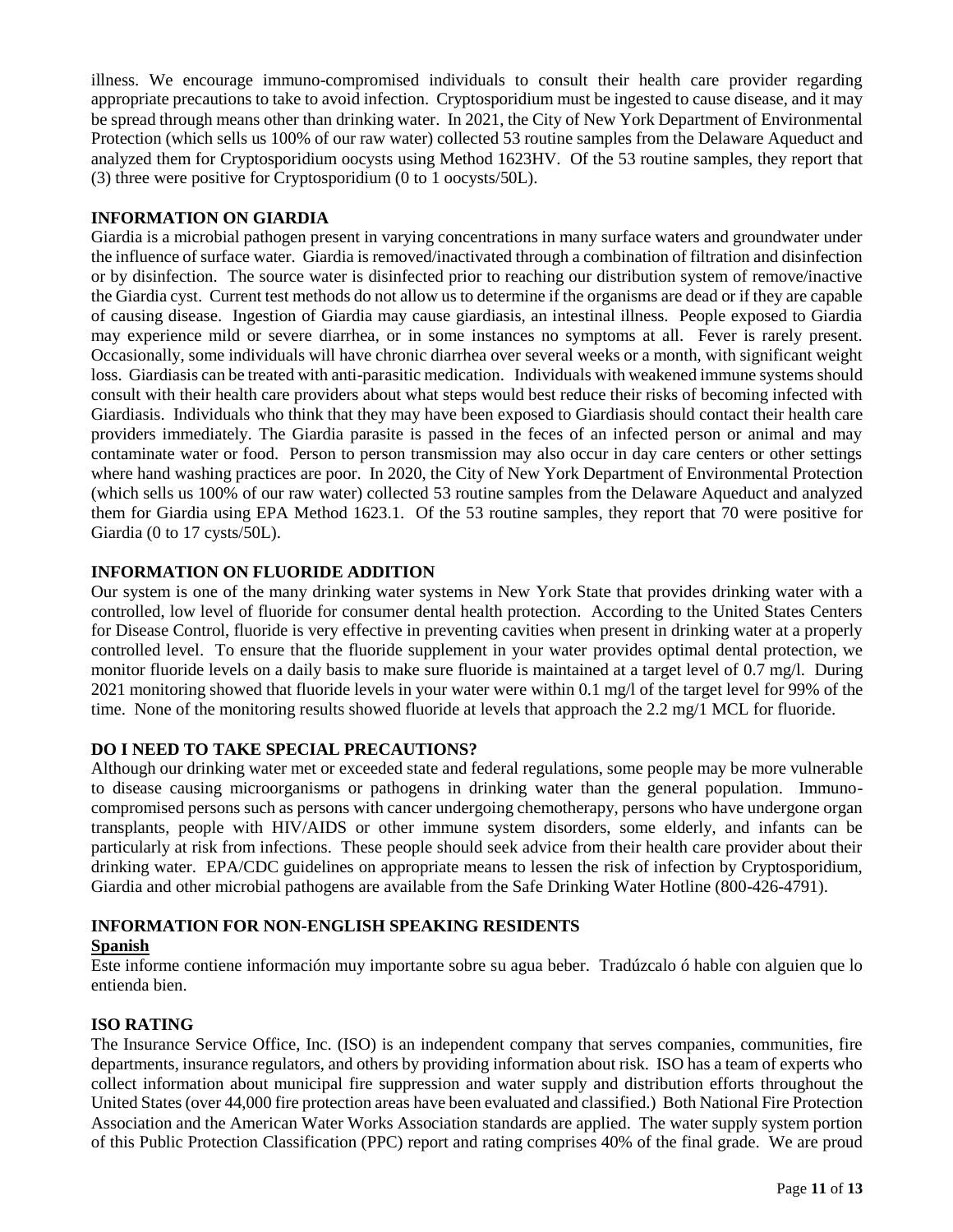illness. We encourage immuno-compromised individuals to consult their health care provider regarding appropriate precautions to take to avoid infection. Cryptosporidium must be ingested to cause disease, and it may be spread through means other than drinking water. In 2021, the City of New York Department of Environmental Protection (which sells us 100% of our raw water) collected 53 routine samples from the Delaware Aqueduct and analyzed them for Cryptosporidium oocysts using Method 1623HV. Of the 53 routine samples, they report that (3) three were positive for Cryptosporidium (0 to 1 oocysts/50L).

## **INFORMATION ON GIARDIA**

Giardia is a microbial pathogen present in varying concentrations in many surface waters and groundwater under the influence of surface water. Giardia is removed/inactivated through a combination of filtration and disinfection or by disinfection. The source water is disinfected prior to reaching our distribution system of remove/inactive the Giardia cyst. Current test methods do not allow us to determine if the organisms are dead or if they are capable of causing disease. Ingestion of Giardia may cause giardiasis, an intestinal illness. People exposed to Giardia may experience mild or severe diarrhea, or in some instances no symptoms at all. Fever is rarely present. Occasionally, some individuals will have chronic diarrhea over several weeks or a month, with significant weight loss. Giardiasis can be treated with anti-parasitic medication. Individuals with weakened immune systems should consult with their health care providers about what steps would best reduce their risks of becoming infected with Giardiasis. Individuals who think that they may have been exposed to Giardiasis should contact their health care providers immediately. The Giardia parasite is passed in the feces of an infected person or animal and may contaminate water or food. Person to person transmission may also occur in day care centers or other settings where hand washing practices are poor. In 2020, the City of New York Department of Environmental Protection (which sells us 100% of our raw water) collected 53 routine samples from the Delaware Aqueduct and analyzed them for Giardia using EPA Method 1623.1. Of the 53 routine samples, they report that 70 were positive for Giardia (0 to 17 cysts/50L).

## **INFORMATION ON FLUORIDE ADDITION**

Our system is one of the many drinking water systems in New York State that provides drinking water with a controlled, low level of fluoride for consumer dental health protection. According to the United States Centers for Disease Control, fluoride is very effective in preventing cavities when present in drinking water at a properly controlled level. To ensure that the fluoride supplement in your water provides optimal dental protection, we monitor fluoride levels on a daily basis to make sure fluoride is maintained at a target level of 0.7 mg/l. During 2021 monitoring showed that fluoride levels in your water were within 0.1 mg/l of the target level for 99% of the time. None of the monitoring results showed fluoride at levels that approach the 2.2 mg/1 MCL for fluoride.

# **DO I NEED TO TAKE SPECIAL PRECAUTIONS?**

Although our drinking water met or exceeded state and federal regulations, some people may be more vulnerable to disease causing microorganisms or pathogens in drinking water than the general population. Immunocompromised persons such as persons with cancer undergoing chemotherapy, persons who have undergone organ transplants, people with HIV/AIDS or other immune system disorders, some elderly, and infants can be particularly at risk from infections. These people should seek advice from their health care provider about their drinking water. EPA/CDC guidelines on appropriate means to lessen the risk of infection by Cryptosporidium, Giardia and other microbial pathogens are available from the Safe Drinking Water Hotline (800-426-4791).

# **INFORMATION FOR NON-ENGLISH SPEAKING RESIDENTS**

## **Spanish**

Este informe contiene información muy importante sobre su agua beber. Tradúzcalo ó hable con alguien que lo entienda bien.

## **ISO RATING**

The Insurance Service Office, Inc. (ISO) is an independent company that serves companies, communities, fire departments, insurance regulators, and others by providing information about risk. ISO has a team of experts who collect information about municipal fire suppression and water supply and distribution efforts throughout the United States (over 44,000 fire protection areas have been evaluated and classified.) Both National Fire Protection Association and the American Water Works Association standards are applied. The water supply system portion of this Public Protection Classification (PPC) report and rating comprises 40% of the final grade. We are proud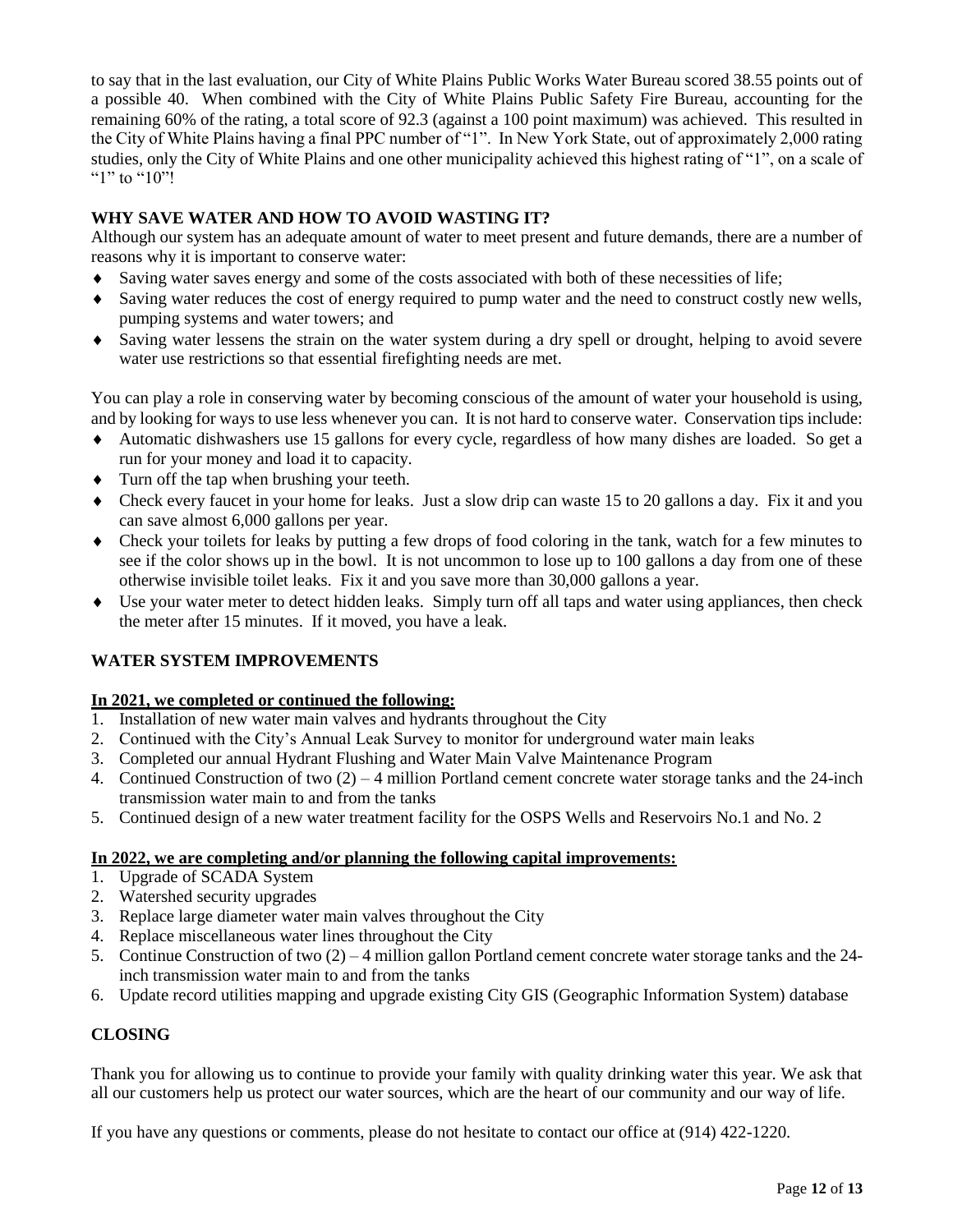to say that in the last evaluation, our City of White Plains Public Works Water Bureau scored 38.55 points out of a possible 40. When combined with the City of White Plains Public Safety Fire Bureau, accounting for the remaining 60% of the rating, a total score of 92.3 (against a 100 point maximum) was achieved. This resulted in the City of White Plains having a final PPC number of "1". In New York State, out of approximately 2,000 rating studies, only the City of White Plains and one other municipality achieved this highest rating of "1", on a scale of "1" to "10"!

# **WHY SAVE WATER AND HOW TO AVOID WASTING IT?**

Although our system has an adequate amount of water to meet present and future demands, there are a number of reasons why it is important to conserve water:

- Saving water saves energy and some of the costs associated with both of these necessities of life;
- Saving water reduces the cost of energy required to pump water and the need to construct costly new wells, pumping systems and water towers; and
- Saving water lessens the strain on the water system during a dry spell or drought, helping to avoid severe water use restrictions so that essential firefighting needs are met.

You can play a role in conserving water by becoming conscious of the amount of water your household is using, and by looking for ways to use less whenever you can. It is not hard to conserve water. Conservation tips include:

- Automatic dishwashers use 15 gallons for every cycle, regardless of how many dishes are loaded. So get a run for your money and load it to capacity.
- $\bullet$  Turn off the tap when brushing your teeth.
- Check every faucet in your home for leaks. Just a slow drip can waste 15 to 20 gallons a day. Fix it and you can save almost 6,000 gallons per year.
- Check your toilets for leaks by putting a few drops of food coloring in the tank, watch for a few minutes to see if the color shows up in the bowl. It is not uncommon to lose up to 100 gallons a day from one of these otherwise invisible toilet leaks. Fix it and you save more than 30,000 gallons a year.
- Use your water meter to detect hidden leaks. Simply turn off all taps and water using appliances, then check the meter after 15 minutes. If it moved, you have a leak.

# **WATER SYSTEM IMPROVEMENTS**

# **In 2021, we completed or continued the following:**

- 1. Installation of new water main valves and hydrants throughout the City
- 2. Continued with the City's Annual Leak Survey to monitor for underground water main leaks
- 3. Completed our annual Hydrant Flushing and Water Main Valve Maintenance Program
- 4. Continued Construction of two (2) 4 million Portland cement concrete water storage tanks and the 24-inch transmission water main to and from the tanks
- 5. Continued design of a new water treatment facility for the OSPS Wells and Reservoirs No.1 and No. 2

## **In 2022, we are completing and/or planning the following capital improvements:**

- 1. Upgrade of SCADA System
- 2. Watershed security upgrades
- 3. Replace large diameter water main valves throughout the City
- 4. Replace miscellaneous water lines throughout the City
- 5. Continue Construction of two (2) 4 million gallon Portland cement concrete water storage tanks and the 24 inch transmission water main to and from the tanks
- 6. Update record utilities mapping and upgrade existing City GIS (Geographic Information System) database

# **CLOSING**

Thank you for allowing us to continue to provide your family with quality drinking water this year. We ask that all our customers help us protect our water sources, which are the heart of our community and our way of life.

If you have any questions or comments, please do not hesitate to contact our office at (914) 422-1220.